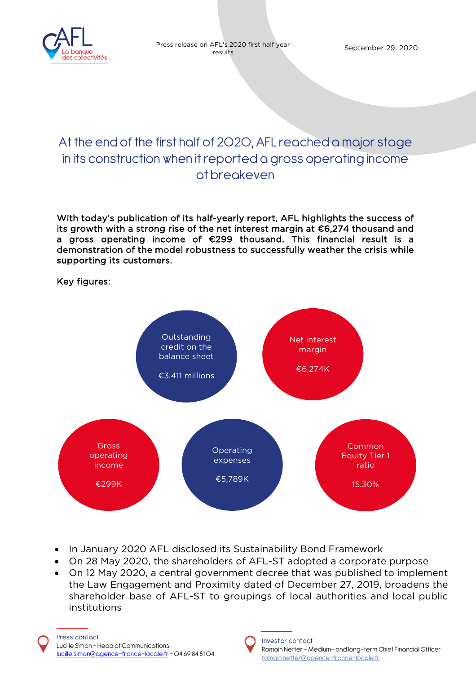

# At the end of the first half of 2020, AFL reached a major stage in its construction when it reported a gross operating income at breakeven

With today's publication of its half-yearly report, AFL highlights the success of its growth with a strong rise of the net interest margin at €6,274 thousand and a gross operating income of €299 thousand. This financial result is a demonstration of the model robustness to successfully weather the crisis while supporting its customers.

## Key figures:



- In January 2020 AFL disclosed its Sustainability Bond Framework
- On 28 May 2020, the shareholders of AFL-ST adopted a corporate purpose
- On 12 May 2020, a central government decree that was published to implement the Law Engagement and Proximity dated of December 27, 2019, broadens the shareholder base of AFL-ST to groupings of local authorities and local public institutions

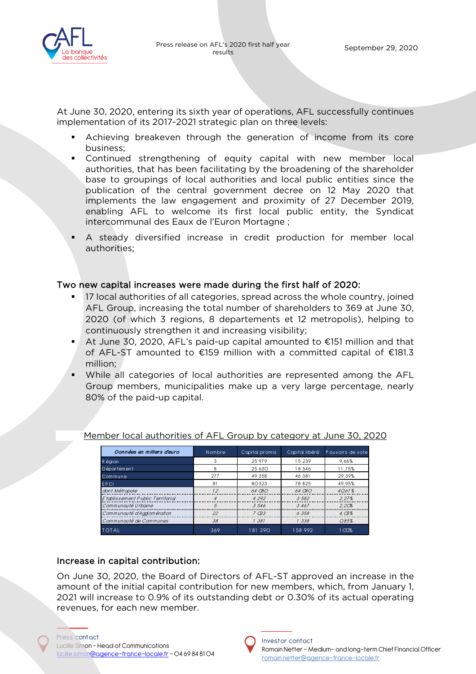

At June 30, 2020, entering its sixth year of operations, AFL successfully continues implementation of its 2017-2021 strategic plan on three levels:

- Achieving breakeven through the generation of income from its core business;
- Continued strengthening of equity capital with new member local authorities, that has been facilitating by the broadening of the shareholder base to groupings of local authorities and local public entities since the publication of the central government decree on 12 May 2020 that implements the law engagement and proximity of 27 December 2019, enabling AFL to welcome its first local public entity, the Syndicat intercommunal des Eaux de l'Euron Mortagne ;
- A steady diversified increase in credit production for member local authorities;

## Two new capital increases were made during the first half of 2020:

- 17 local authorities of all categories, spread across the whole country, joined AFL Group, increasing the total number of shareholders to 369 at June 30, 2020 (of which 3 regions, 8 departements et 12 metropolis), helping to continuously strengthen it and increasing visibility;
- At June 30, 2020, AFL's paid-up capital amounted to €151 million and that of AFL-ST amounted to €159 million with a committed capital of €181.3 million;
- While all categories of local authorities are represented among the AFL Group members, municipalities make up a very large percentage, nearly 80% of the paid-up capital.

| Données en milliers d'euro        | Nombre | Capital promis | Capital libéré | Pouvoirs de vote |
|-----------------------------------|--------|----------------|----------------|------------------|
| R égion                           |        | 25 97 9        | 15 239         | 9.66%            |
| Département                       | ጸ      | 25 630         | 18 546         | 11,75%           |
| Commune                           | 277    | 49 358         | 46 381         | 29.39%           |
| <b>EPCI</b>                       | 81     | 80323          | 78 825         | 49.95%           |
| dont Métropole                    | 12     | $64$ $080$     | $64$ $080$     | 4061%            |
| E toblissement Public Territorial |        | 4 292          | 3582           | 2.27%            |
| Communquié Urboine                |        | .3.546         | .3467          | 2.20%            |
| Communauté d'Agglomération        | 22     | $7 \nO.3$      | 6358           | 4.03%            |
| Communquié de Communes            | 38     | 1 381          | 1338           | Q85%             |
| <b>TOTAL</b>                      | 369    | 181 290        | 158 992        | 100%             |

Member local authorities of AFL Group by category at June 30, 2020

## Increase in capital contribution:

On June 30, 2020, the Board of Directors of AFL-ST approved an increase in the amount of the initial capital contribution for new members, which, from January 1, 2021 will increase to 0.9% of its outstanding debt or 0.30% of its actual operating revenues, for each new member.

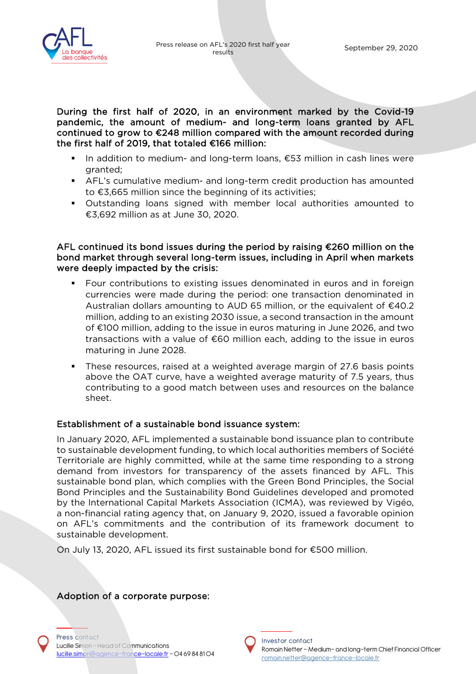

During the first half of 2020, in an environment marked by the Covid-19 pandemic, the amount of medium- and long-term loans granted by AFL continued to grow to €248 million compared with the amount recorded during the first half of 2019, that totaled €166 million:

- In addition to medium- and long-term loans, €53 million in cash lines were granted;
- AFL's cumulative medium- and long-term credit production has amounted to €3,665 million since the beginning of its activities;
- Outstanding loans signed with member local authorities amounted to €3,692 million as at June 30, 2020.

#### AFL continued its bond issues during the period by raising €260 million on the bond market through several long-term issues, including in April when markets were deeply impacted by the crisis:

- Four contributions to existing issues denominated in euros and in foreign currencies were made during the period: one transaction denominated in Australian dollars amounting to AUD 65 million, or the equivalent of  $\epsilon$ 40.2 million, adding to an existing 2030 issue, a second transaction in the amount of €100 million, adding to the issue in euros maturing in June 2026, and two transactions with a value of €60 million each, adding to the issue in euros maturing in June 2028.
- These resources, raised at a weighted average margin of 27.6 basis points above the OAT curve, have a weighted average maturity of 7.5 years, thus contributing to a good match between uses and resources on the balance sheet.

## Establishment of a sustainable bond issuance system:

In January 2020, AFL implemented a sustainable bond issuance plan to contribute to sustainable development funding, to which local authorities members of Société Territoriale are highly committed, while at the same time responding to a strong demand from investors for transparency of the assets financed by AFL. This sustainable bond plan, which complies with the Green Bond Principles, the Social Bond Principles and the Sustainability Bond Guidelines developed and promoted by the International Capital Markets Association (ICMA), was reviewed by Vigéo, a non-financial rating agency that, on January 9, 2020, issued a favorable opinion on AFL's commitments and the contribution of its framework document to sustainable development.

On July 13, 2020, AFL issued its first sustainable bond for €500 million.

#### Adoption of a corporate purpose:

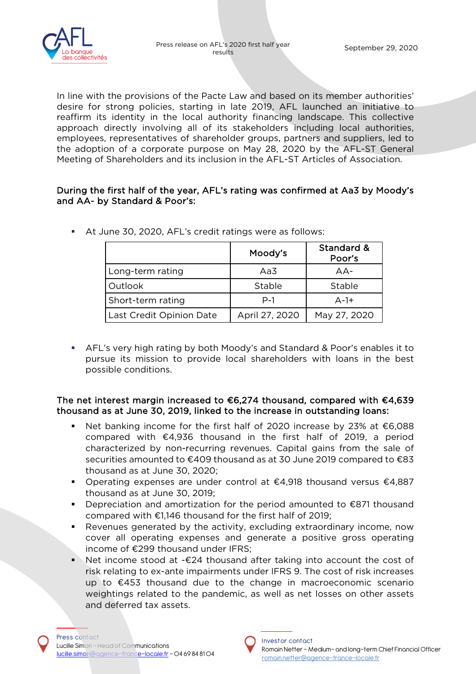

In line with the provisions of the Pacte Law and based on its member authorities' desire for strong policies, starting in late 2019, AFL launched an initiative to reaffirm its identity in the local authority financing landscape. This collective approach directly involving all of its stakeholders including local authorities, employees, representatives of shareholder groups, partners and suppliers, led to the adoption of a corporate purpose on May 28, 2020 by the AFL-ST General Meeting of Shareholders and its inclusion in the AFL-ST Articles of Association.

#### During the first half of the year, AFL's rating was confirmed at Aa3 by Moody's and AA- by Standard & Poor's:

|                          | Moody's        | Standard &<br>Poor's |
|--------------------------|----------------|----------------------|
| Long-term rating         | Aa3            | $AA-$                |
| Outlook                  | Stable         | Stable               |
| Short-term rating        | P-1            | $A-1+$               |
| Last Credit Opinion Date | April 27, 2020 | May 27, 2020         |

At June 30, 2020, AFL's credit ratings were as follows:

 AFL's very high rating by both Moody's and Standard & Poor's enables it to pursue its mission to provide local shareholders with loans in the best possible conditions.

## The net interest margin increased to €6,274 thousand, compared with €4,639 thousand as at June 30, 2019, linked to the increase in outstanding loans:

- Net banking income for the first half of 2020 increase by 23% at €6,088 compared with €4,936 thousand in the first half of 2019, a period characterized by non-recurring revenues. Capital gains from the sale of securities amounted to €409 thousand as at 30 June 2019 compared to €83 thousand as at June 30, 2020;
- Operating expenses are under control at €4,918 thousand versus €4,887 thousand as at June 30, 2019;
- Depreciation and amortization for the period amounted to €871 thousand compared with €1,146 thousand for the first half of 2019;
- Revenues generated by the activity, excluding extraordinary income, now cover all operating expenses and generate a positive gross operating income of €299 thousand under IFRS;
- Net income stood at -€24 thousand after taking into account the cost of risk relating to ex-ante impairments under IFRS 9. The cost of risk increases up to €453 thousand due to the change in macroeconomic scenario weightings related to the pandemic, as well as net losses on other assets and deferred tax assets.

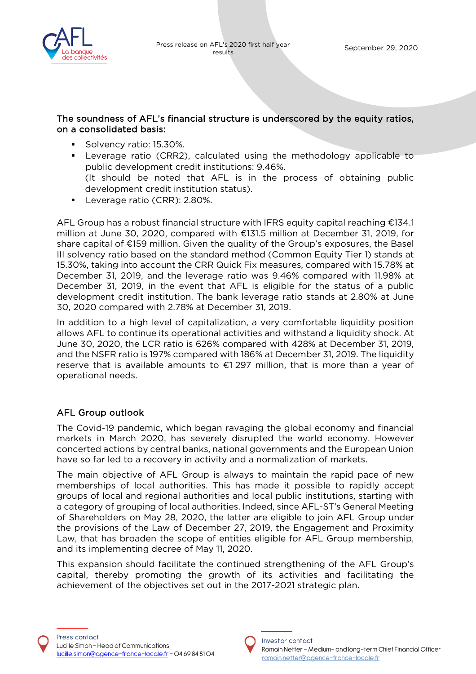

## The soundness of AFL's financial structure is underscored by the equity ratios, on a consolidated basis:

- Solvency ratio: 15.30%.
- Leverage ratio (CRR2), calculated using the methodology applicable to public development credit institutions: 9.46%. (It should be noted that AFL is in the process of obtaining public development credit institution status).
- **Leverage ratio (CRR): 2.80%.**

AFL Group has a robust financial structure with IFRS equity capital reaching €134.1 million at June 30, 2020, compared with €131.5 million at December 31, 2019, for share capital of €159 million. Given the quality of the Group's exposures, the Basel III solvency ratio based on the standard method (Common Equity Tier 1) stands at 15.30%, taking into account the CRR Quick Fix measures, compared with 15.78% at December 31, 2019, and the leverage ratio was 9.46% compared with 11.98% at December 31, 2019, in the event that AFL is eligible for the status of a public development credit institution. The bank leverage ratio stands at 2.80% at June 30, 2020 compared with 2.78% at December 31, 2019.

In addition to a high level of capitalization, a very comfortable liquidity position allows AFL to continue its operational activities and withstand a liquidity shock. At June 30, 2020, the LCR ratio is 626% compared with 428% at December 31, 2019, and the NSFR ratio is 197% compared with 186% at December 31, 2019. The liquidity reserve that is available amounts to €1 297 million, that is more than a year of operational needs.

## AFL Group outlook

The Covid-19 pandemic, which began ravaging the global economy and financial markets in March 2020, has severely disrupted the world economy. However concerted actions by central banks, national governments and the European Union have so far led to a recovery in activity and a normalization of markets.

The main objective of AFL Group is always to maintain the rapid pace of new memberships of local authorities. This has made it possible to rapidly accept groups of local and regional authorities and local public institutions, starting with a category of grouping of local authorities. Indeed, since AFL-ST's General Meeting of Shareholders on May 28, 2020, the latter are eligible to join AFL Group under the provisions of the Law of December 27, 2019, the Engagement and Proximity Law, that has broaden the scope of entities eligible for AFL Group membership, and its implementing decree of May 11, 2020.

This expansion should facilitate the continued strengthening of the AFL Group's capital, thereby promoting the growth of its activities and facilitating the achievement of the objectives set out in the 2017-2021 strategic plan.

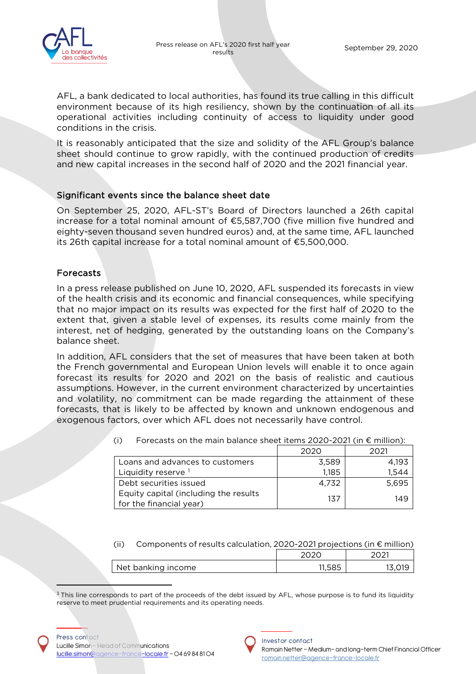

AFL, a bank dedicated to local authorities, has found its true calling in this difficult environment because of its high resiliency, shown by the continuation of all its operational activities including continuity of access to liquidity under good conditions in the crisis.

It is reasonably anticipated that the size and solidity of the AFL Group's balance sheet should continue to grow rapidly, with the continued production of credits and new capital increases in the second half of 2020 and the 2021 financial year.

## Significant events since the balance sheet date

On September 25, 2020, AFL-ST's Board of Directors launched a 26th capital increase for a total nominal amount of €5,587,700 (five million five hundred and eighty-seven thousand seven hundred euros) and, at the same time, AFL launched its 26th capital increase for a total nominal amount of €5,500,000.

## Forecasts

In a press release published on June 10, 2020, AFL suspended its forecasts in view of the health crisis and its economic and financial consequences, while specifying that no major impact on its results was expected for the first half of 2020 to the extent that, given a stable level of expenses, its results come mainly from the interest, net of hedging, generated by the outstanding loans on the Company's balance sheet.

In addition, AFL considers that the set of measures that have been taken at both the French governmental and European Union levels will enable it to once again forecast its results for 2020 and 2021 on the basis of realistic and cautious assumptions. However, in the current environment characterized by uncertainties and volatility, no commitment can be made regarding the attainment of these forecasts, that is likely to be affected by known and unknown endogenous and exogenous factors, over which AFL does not necessarily have control.

|                                                                  | 2020  | 2021  |
|------------------------------------------------------------------|-------|-------|
| Loans and advances to customers                                  | 3,589 | 4.193 |
| Liquidity reserve 1                                              | 1,185 | 1.544 |
| Debt securities issued                                           | 4.732 | 5.695 |
| Equity capital (including the results<br>for the financial year) | 137   | 149   |

(i) Forecasts on the main balance sheet items 2020-2021 (in  $\epsilon$  million):

(ii) Components of results calculation, 2020-2021 projections (in € million)

|                    | 202C   | າດາ1         |
|--------------------|--------|--------------|
| Net banking income | 11,585 | $\bigcap$ 10 |

<span id="page-5-0"></span> $1$ This line corresponds to part of the proceeds of the debt issued by AFL, whose purpose is to fund its liquidity reserve to meet prudential requirements and its operating needs.

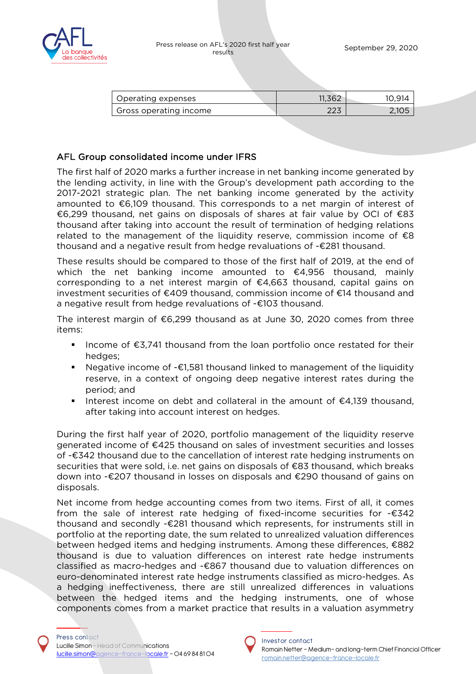

| Operating expenses     | 11,362     | 10.914 |
|------------------------|------------|--------|
| Gross operating income | へへっ<br>ددے | 2,105  |

## AFL Group consolidated income under IFRS

The first half of 2020 marks a further increase in net banking income generated by the lending activity, in line with the Group's development path according to the 2017-2021 strategic plan. The net banking income generated by the activity amounted to €6,109 thousand. This corresponds to a net margin of interest of €6,299 thousand, net gains on disposals of shares at fair value by OCI of €83 thousand after taking into account the result of termination of hedging relations related to the management of the liquidity reserve, commission income of  $\epsilon$ 8 thousand and a negative result from hedge revaluations of -€281 thousand.

These results should be compared to those of the first half of 2019, at the end of which the net banking income amounted to  $\epsilon$ 4,956 thousand, mainly corresponding to a net interest margin of €4,663 thousand, capital gains on investment securities of €409 thousand, commission income of €14 thousand and a negative result from hedge revaluations of -€103 thousand.

The interest margin of €6,299 thousand as at June 30, 2020 comes from three items:

- Income of  $$3,741$  thousand from the loan portfolio once restated for their hedges;
- Negative income of -€1,581 thousand linked to management of the liquidity reserve, in a context of ongoing deep negative interest rates during the period; and
- Interest income on debt and collateral in the amount of  $\epsilon$ 4,139 thousand, after taking into account interest on hedges.

During the first half year of 2020, portfolio management of the liquidity reserve generated income of €425 thousand on sales of investment securities and losses of -€342 thousand due to the cancellation of interest rate hedging instruments on securities that were sold, i.e. net gains on disposals of €83 thousand, which breaks down into -€207 thousand in losses on disposals and €290 thousand of gains on disposals.

Net income from hedge accounting comes from two items. First of all, it comes from the sale of interest rate hedging of fixed-income securities for -€342 thousand and secondly -€281 thousand which represents, for instruments still in portfolio at the reporting date, the sum related to unrealized valuation differences between hedged items and hedging instruments. Among these differences, €882 thousand is due to valuation differences on interest rate hedge instruments classified as macro-hedges and -€867 thousand due to valuation differences on euro-denominated interest rate hedge instruments classified as micro-hedges. As a hedging ineffectiveness, there are still unrealized differences in valuations between the hedged items and the hedging instruments, one of whose components comes from a market practice that results in a valuation asymmetry

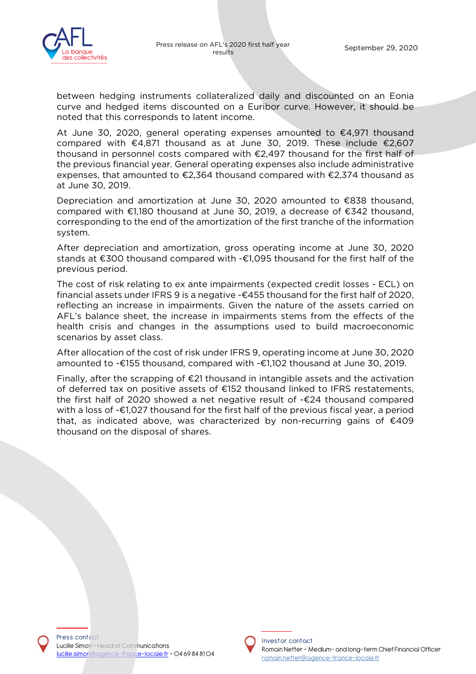

between hedging instruments collateralized daily and discounted on an Eonia curve and hedged items discounted on a Euribor curve. However, it should be noted that this corresponds to latent income.

At June 30, 2020, general operating expenses amounted to €4,971 thousand compared with €4,871 thousand as at June 30, 2019. These include €2,607 thousand in personnel costs compared with  $\epsilon$ 2,497 thousand for the first half of the previous financial year. General operating expenses also include administrative expenses, that amounted to €2,364 thousand compared with €2,374 thousand as at June 30, 2019.

Depreciation and amortization at June 30, 2020 amounted to €838 thousand, compared with €1,180 thousand at June 30, 2019, a decrease of €342 thousand, corresponding to the end of the amortization of the first tranche of the information system.

After depreciation and amortization, gross operating income at June 30, 2020 stands at €300 thousand compared with -€1,095 thousand for the first half of the previous period.

The cost of risk relating to ex ante impairments (expected credit losses - ECL) on financial assets under IFRS 9 is a negative -€455 thousand for the first half of 2020, reflecting an increase in impairments. Given the nature of the assets carried on AFL's balance sheet, the increase in impairments stems from the effects of the health crisis and changes in the assumptions used to build macroeconomic scenarios by asset class.

After allocation of the cost of risk under IFRS 9, operating income at June 30, 2020 amounted to -€155 thousand, compared with -€1,102 thousand at June 30, 2019.

Finally, after the scrapping of €21 thousand in intangible assets and the activation of deferred tax on positive assets of €152 thousand linked to IFRS restatements, the first half of 2020 showed a net negative result of -€24 thousand compared with a loss of -€1,027 thousand for the first half of the previous fiscal year, a period that, as indicated above, was characterized by non-recurring gains of €409 thousand on the disposal of shares.

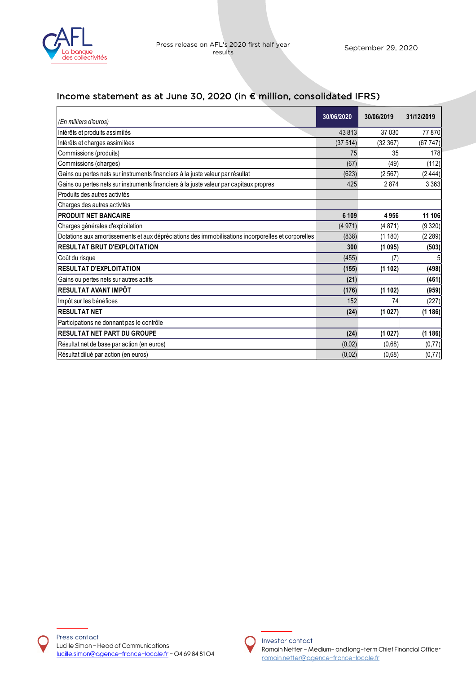

# Income statement as at June 30, 2020 (in € million, consolidated IFRS)

| (En milliers d'euros)                                                                              | 30/06/2020 | 30/06/2019 | 31/12/2019 |
|----------------------------------------------------------------------------------------------------|------------|------------|------------|
| Intérêts et produits assimilés                                                                     | 43813      | 37 030     | 77870      |
| Intérêts et charges assimilées                                                                     | (37514)    | (32367)    | (67747)    |
| Commissions (produits)                                                                             | 75         | 35         | 178        |
| Commissions (charges)                                                                              | (67)       | (49)       | (112)      |
| Gains ou pertes nets sur instruments financiers à la juste valeur par résultat                     | (623)      | (2567)     | (2444)     |
| Gains ou pertes nets sur instruments financiers à la juste valeur par capitaux propres             | 425        | 2874       | 3 3 6 3    |
| Produits des autres activités                                                                      |            |            |            |
| Charges des autres activités                                                                       |            |            |            |
| <b>PRODUIT NET BANCAIRE</b>                                                                        | 6 109      | 4956       | 11 106     |
| Charges générales d'exploitation                                                                   | (4971)     | (4871)     | (9320)     |
| Dotations aux amortissements et aux dépréciations des immobilisations incorporelles et corporelles | (838)      | (1180)     | (2289)     |
| <b>RESULTAT BRUT D'EXPLOITATION</b>                                                                | 300        | (1095)     | (503)      |
| Coût du risque                                                                                     | (455)      | (7)        |            |
| <b>RESULTAT D'EXPLOITATION</b>                                                                     | (155)      | (1102)     | (498)      |
| Gains ou pertes nets sur autres actifs                                                             | (21)       |            | (461)      |
| RESULTAT AVANT IMPÔT                                                                               | (176)      | (1102)     | (959)      |
| Impôt sur les bénéfices                                                                            | 152        | 74         | (227)      |
| <b>IRESULTAT NET</b>                                                                               | (24)       | (1027)     | (1186)     |
| Participations ne donnant pas le contrôle                                                          |            |            |            |
| <b>RESULTAT NET PART DU GROUPE</b>                                                                 | (24)       | (1027)     | (1186)     |
| Résultat net de base par action (en euros)                                                         | (0,02)     | (0,68)     | (0, 77)    |
| Résultat dilué par action (en euros)                                                               | (0,02)     | (0,68)     | (0, 77)    |

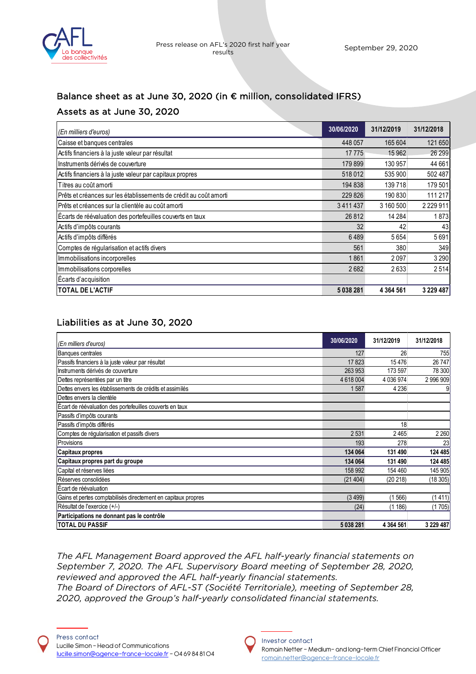

## Balance sheet as at June 30, 2020 (in € million, consolidated IFRS)

## Assets as at June 30, 2020

| (En milliers d'euros)                                              | 30/06/2020 | 31/12/2019    | 31/12/2018    |
|--------------------------------------------------------------------|------------|---------------|---------------|
| Caisse et banques centrales                                        | 448 057    | 165 604       | 121650        |
| Actifs financiers à la juste valeur par résultat                   | 17775      | 15 9 62       | 26 299        |
| Instruments dérivés de couverture                                  | 179 899    | 130 957       | 44 661        |
| Actifs financiers à la juste valeur par capitaux propres           | 518012     | 535 900       | 502487        |
| Titres au coût amorti                                              | 194 838    | 139718        | 179501        |
| IPrêts et créances sur les établissements de crédit au coût amorti | 229 826    | 190 830       | 111 217       |
| IPrêts et créances sur la clientèle au coût amorti                 | 3411437    | 3 160 500     | 2 2 2 9 1 1   |
| Écarts de réévaluation des portefeuilles couverts en taux          | 26812      | 14 2 84       | 1873          |
| Actifs d'impôts courants                                           | 32         | 42            | 43            |
| Actifs d'impôts différés                                           | 6489       | 5654          | 5691          |
| Comptes de régularisation et actifs divers                         | 561        | 380           | 349           |
| Immobilisations incorporelles                                      | 1861       | 2097          | 3 2 9 0       |
| Immobilisations corporelles                                        | 2682       | 2633          | 2514          |
| Ecarts d'acquisition                                               |            |               |               |
| <b>TOTAL DE L'ACTIF</b>                                            | 5038281    | 4 3 6 4 5 6 1 | 3 2 2 9 4 8 7 |

## Liabilities as at June 30, 2020

| (En milliers d'euros)                                         | 30/06/2020 | 31/12/2019    | 31/12/2018    |
|---------------------------------------------------------------|------------|---------------|---------------|
| Banques centrales                                             | 127        | 26            | 755           |
| Passifs financiers à la juste valeur par résultat             | 17823      | 15476         | 26 747        |
| Instruments dérivés de couverture                             | 263 953    | 173 597       | 78 300        |
| Dettes représentées par un titre                              | 4 618 004  | 4 036 974     | 2 996 909     |
| Dettes envers les établissements de crédits et assimilés      | 1587       | 4 2 3 6       |               |
| Dettes envers la clientèle                                    |            |               |               |
| Écart de réévaluation des portefeuilles couverts en taux      |            |               |               |
| Passifs d'impôts courants                                     |            |               |               |
| Passifs d'impôts différés                                     |            | 18            |               |
| Comptes de régularisation et passifs divers                   | 2531       | 2465          | 2 2 6 0       |
| Provisions                                                    | 193        | 278           | 23            |
| Capitaux propres                                              | 134 064    | 131 490       | 124 485       |
| Capitaux propres part du groupe                               | 134 064    | 131 490       | 124 485       |
| Capital et réserves liées                                     | 158 992    | 154 460       | 145 905       |
| Réserves consolidées                                          | (21404)    | (20 218)      | (18 305)      |
| Ecart de réévaluation                                         |            |               |               |
| Gains et pertes comptabilisés directement en capitaux propres | (3499)     | 566)          | (1411)        |
| Résultat de l'exercice (+/-)                                  | (24)       | (1186)        | (1705)        |
| Participations ne donnant pas le contrôle                     |            |               |               |
| <b>TOTAL DU PASSIF</b>                                        | 5 038 281  | 4 3 6 4 5 6 1 | 3 2 2 9 4 8 7 |

*The AFL Management Board approved the AFL half-yearly financial statements on September 7, 2020. The AFL Supervisory Board meeting of September 28, 2020, reviewed and approved the AFL half-yearly financial statements. The Board of Directors of AFL-ST (Société Territoriale), meeting of September 28, 2020, approved the Group's half-yearly consolidated financial statements.*